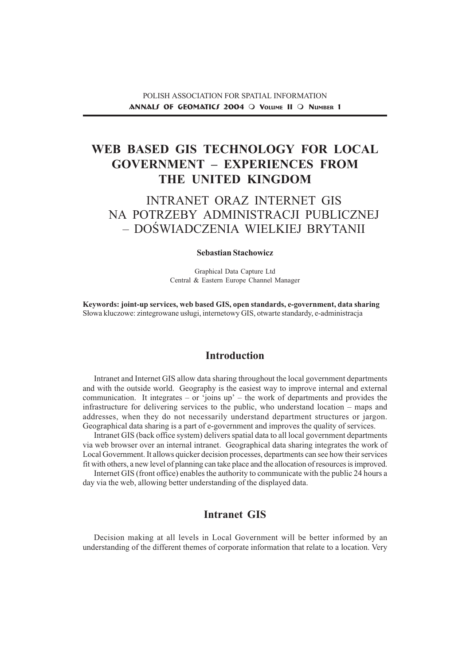### POLISH ASSOCIATION FOR SPATIAL INFORMATION ANNALL OF GEOMATICL 2004  $\bigcirc$  VOLUME II  $\bigcirc$  NUMBER 1

# WEB BASED GIS TECHNOLOGY FOR LOCAL GOVERNMENT EXPERIENCES FROM THE UNITED KINGDOM

# INTRANET ORAZ INTERNET GIS NA POTRZEBY ADMINISTRACJI PUBLICZNEJ - DOŚWIADCZENIA WIELKIEJ BRYTANII

#### Sebastian Stachowicz

Graphical Data Capture Ltd Central & Eastern Europe Channel Manager

Keywords: joint-up services, web based GIS, open standards, e-government, data sharing Słowa kluczowe: zintegrowane usługi, internetowy GIS, otwarte standardy, e-administracja

## Introduction

Intranet and Internet GIS allow data sharing throughout the local government departments and with the outside world. Geography is the easiest way to improve internal and external communication. It integrates  $-$  or 'joins up'  $-$  the work of departments and provides the infrastructure for delivering services to the public, who understand location maps and addresses, when they do not necessarily understand department structures or jargon. Geographical data sharing is a part of e-government and improves the quality of services.

Intranet GIS (back office system) delivers spatial data to all local government departments via web browser over an internal intranet. Geographical data sharing integrates the work of Local Government. It allows quicker decision processes, departments can see how their services fit with others, a new level of planning can take place and the allocation of resources is improved.

Internet GIS (front office) enables the authority to communicate with the public 24 hours a day via the web, allowing better understanding of the displayed data.

# Intranet GIS

Decision making at all levels in Local Government will be better informed by an understanding of the different themes of corporate information that relate to a location. Very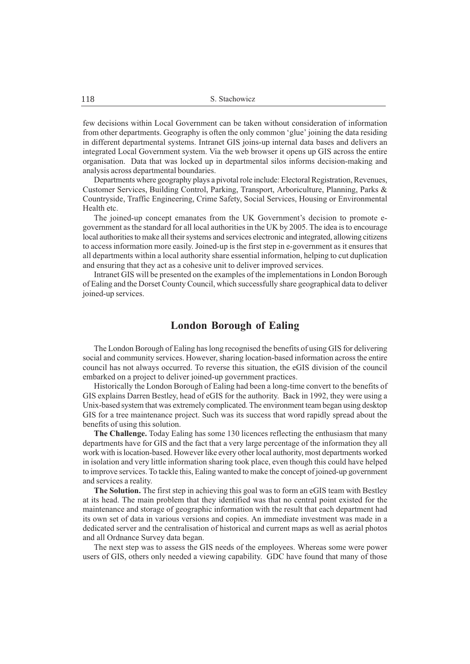few decisions within Local Government can be taken without consideration of information from other departments. Geography is often the only common 'glue' joining the data residing in different departmental systems. Intranet GIS joins-up internal data bases and delivers an integrated Local Government system. Via the web browser it opens up GIS across the entire organisation. Data that was locked up in departmental silos informs decision-making and analysis across departmental boundaries.

Departments where geography plays a pivotal role include: Electoral Registration, Revenues, Customer Services, Building Control, Parking, Transport, Arboriculture, Planning, Parks & Countryside, Traffic Engineering, Crime Safety, Social Services, Housing or Environmental Health etc.

The joined-up concept emanates from the UK Government's decision to promote egovernment as the standard for all local authorities in the UK by 2005. The idea is to encourage local authorities to make all their systems and services electronic and integrated, allowing citizens to access information more easily. Joined-up is the first step in e-government as it ensures that all departments within a local authority share essential information, helping to cut duplication and ensuring that they act as a cohesive unit to deliver improved services.

Intranet GIS will be presented on the examples of the implementations in London Borough of Ealing and the Dorset County Council, which successfully share geographical data to deliver joined-up services.

### London Borough of Ealing

The London Borough of Ealing has long recognised the benefits of using GIS for delivering social and community services. However, sharing location-based information across the entire council has not always occurred. To reverse this situation, the eGIS division of the council embarked on a project to deliver joined-up government practices.

Historically the London Borough of Ealing had been a long-time convert to the benefits of GIS explains Darren Bestley, head of eGIS for the authority. Back in 1992, they were using a Unix-based system that was extremely complicated. The environment team began using desktop GIS for a tree maintenance project. Such was its success that word rapidly spread about the benefits of using this solution.

The Challenge. Today Ealing has some 130 licences reflecting the enthusiasm that many departments have for GIS and the fact that a very large percentage of the information they all work with is location-based. However like every other local authority, most departments worked in isolation and very little information sharing took place, even though this could have helped to improve services. To tackle this, Ealing wanted to make the concept of joined-up government and services a reality.

The Solution. The first step in achieving this goal was to form an eGIS team with Bestley at its head. The main problem that they identified was that no central point existed for the maintenance and storage of geographic information with the result that each department had its own set of data in various versions and copies. An immediate investment was made in a dedicated server and the centralisation of historical and current maps as well as aerial photos and all Ordnance Survey data began.

The next step was to assess the GIS needs of the employees. Whereas some were power users of GIS, others only needed a viewing capability. GDC have found that many of those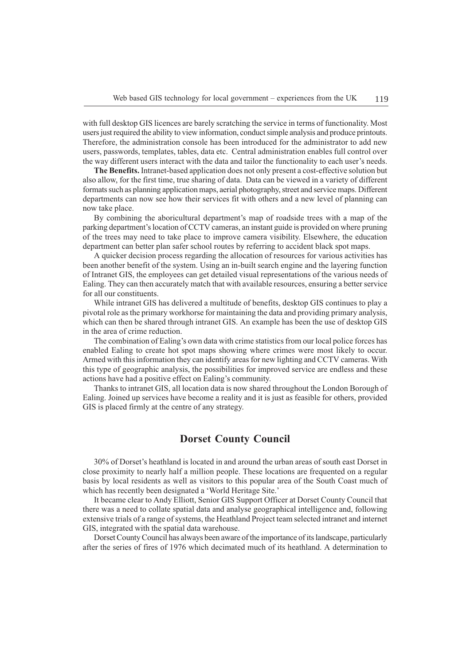with full desktop GIS licences are barely scratching the service in terms of functionality. Most users just required the ability to view information, conduct simple analysis and produce printouts. Therefore, the administration console has been introduced for the administrator to add new users, passwords, templates, tables, data etc. Central administration enables full control over the way different users interact with the data and tailor the functionality to each user's needs.

The Benefits. Intranet-based application does not only present a cost-effective solution but also allow, for the first time, true sharing of data. Data can be viewed in a variety of different formats such as planning application maps, aerial photography, street and service maps. Different departments can now see how their services fit with others and a new level of planning can now take place.

By combining the aboricultural department's map of roadside trees with a map of the parking department's location of CCTV cameras, an instant guide is provided on where pruning of the trees may need to take place to improve camera visibility. Elsewhere, the education department can better plan safer school routes by referring to accident black spot maps.

A quicker decision process regarding the allocation of resources for various activities has been another benefit of the system. Using an in-built search engine and the layering function of Intranet GIS, the employees can get detailed visual representations of the various needs of Ealing. They can then accurately match that with available resources, ensuring a better service for all our constituents.

While intranet GIS has delivered a multitude of benefits, desktop GIS continues to play a pivotal role as the primary workhorse for maintaining the data and providing primary analysis, which can then be shared through intranet GIS. An example has been the use of desktop GIS in the area of crime reduction.

The combination of Ealing's own data with crime statistics from our local police forces has enabled Ealing to create hot spot maps showing where crimes were most likely to occur. Armed with this information they can identify areas for new lighting and CCTV cameras. With this type of geographic analysis, the possibilities for improved service are endless and these actions have had a positive effect on Ealing's community.

Thanks to intranet GIS, all location data is now shared throughout the London Borough of Ealing. Joined up services have become a reality and it is just as feasible for others, provided GIS is placed firmly at the centre of any strategy.

### Dorset County Council

30% of Dorset's heathland is located in and around the urban areas of south east Dorset in close proximity to nearly half a million people. These locations are frequented on a regular basis by local residents as well as visitors to this popular area of the South Coast much of which has recently been designated a 'World Heritage Site.'

It became clear to Andy Elliott, Senior GIS Support Officer at Dorset County Council that there was a need to collate spatial data and analyse geographical intelligence and, following extensive trials of a range of systems, the Heathland Project team selected intranet and internet GIS, integrated with the spatial data warehouse.

Dorset County Council has always been aware of the importance of its landscape, particularly after the series of fires of 1976 which decimated much of its heathland. A determination to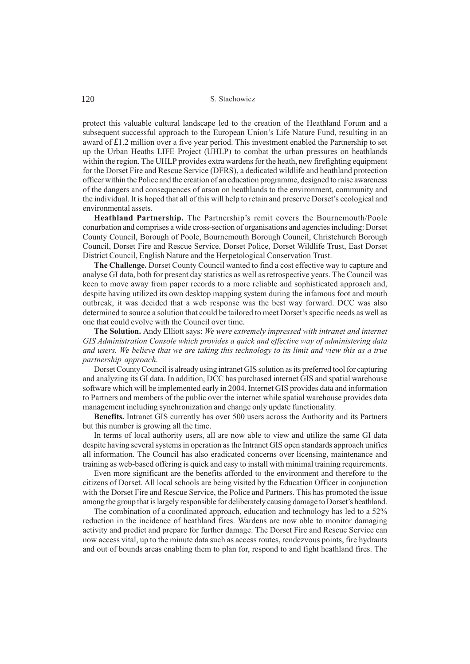protect this valuable cultural landscape led to the creation of the Heathland Forum and a subsequent successful approach to the European Union's Life Nature Fund, resulting in an award of £1.2 million over a five year period. This investment enabled the Partnership to set up the Urban Heaths LIFE Project (UHLP) to combat the urban pressures on heathlands within the region. The UHLP provides extra wardens for the heath, new firefighting equipment for the Dorset Fire and Rescue Service (DFRS), a dedicated wildlife and heathland protection officer within the Police and the creation of an education programme, designed to raise awareness of the dangers and consequences of arson on heathlands to the environment, community and the individual. It is hoped that all of this will help to retain and preserve Dorset's ecological and environmental assets.

Heathland Partnership. The Partnership's remit covers the Bournemouth/Poole conurbation and comprises a wide cross-section of organisations and agencies including: Dorset County Council, Borough of Poole, Bournemouth Borough Council, Christchurch Borough Council, Dorset Fire and Rescue Service, Dorset Police, Dorset Wildlife Trust, East Dorset District Council, English Nature and the Herpetological Conservation Trust.

The Challenge. Dorset County Council wanted to find a cost effective way to capture and analyse GI data, both for present day statistics as well as retrospective years. The Council was keen to move away from paper records to a more reliable and sophisticated approach and, despite having utilized its own desktop mapping system during the infamous foot and mouth outbreak, it was decided that a web response was the best way forward. DCC was also determined to source a solution that could be tailored to meet Dorset's specific needs as well as one that could evolve with the Council over time.

The Solution. Andy Elliott says: We were extremely impressed with intranet and internet GIS Administration Console which provides a quick and effective way of administering data and users. We believe that we are taking this technology to its limit and view this as a true partnership approach.

Dorset County Council is already using intranet GIS solution as its preferred tool for capturing and analyzing its GI data. In addition, DCC has purchased internet GIS and spatial warehouse software which will be implemented early in 2004. Internet GIS provides data and information to Partners and members of the public over the internet while spatial warehouse provides data management including synchronization and change only update functionality.

Benefits. Intranet GIS currently has over 500 users across the Authority and its Partners but this number is growing all the time.

In terms of local authority users, all are now able to view and utilize the same GI data despite having several systems in operation as the Intranet GIS open standards approach unifies all information. The Council has also eradicated concerns over licensing, maintenance and training as web-based offering is quick and easy to install with minimal training requirements.

Even more significant are the benefits afforded to the environment and therefore to the citizens of Dorset. All local schools are being visited by the Education Officer in conjunction with the Dorset Fire and Rescue Service, the Police and Partners. This has promoted the issue among the group that is largely responsible for deliberately causing damage to Dorset's heathland.

The combination of a coordinated approach, education and technology has led to a 52% reduction in the incidence of heathland fires. Wardens are now able to monitor damaging activity and predict and prepare for further damage. The Dorset Fire and Rescue Service can now access vital, up to the minute data such as access routes, rendezvous points, fire hydrants and out of bounds areas enabling them to plan for, respond to and fight heathland fires. The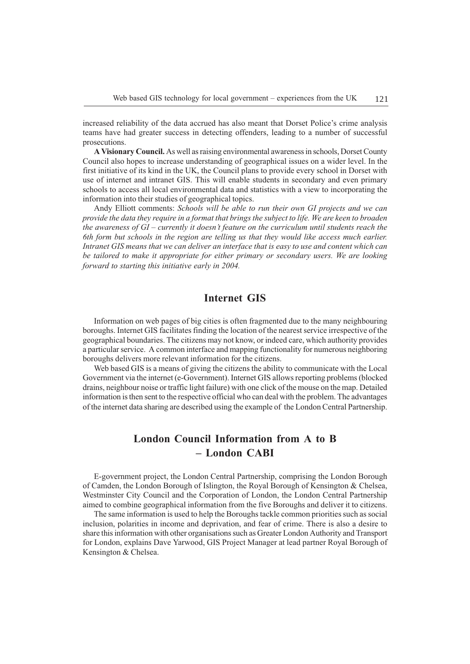increased reliability of the data accrued has also meant that Dorset Police's crime analysis teams have had greater success in detecting offenders, leading to a number of successful prosecutions.

A Visionary Council. As well as raising environmental awareness in schools, Dorset County Council also hopes to increase understanding of geographical issues on a wider level. In the first initiative of its kind in the UK, the Council plans to provide every school in Dorset with use of internet and intranet GIS. This will enable students in secondary and even primary schools to access all local environmental data and statistics with a view to incorporating the information into their studies of geographical topics.

Andy Elliott comments: Schools will be able to run their own GI projects and we can provide the data they require in a format that brings the subject to life. We are keen to broaden the awareness of  $GI$  – currently it doesn't feature on the curriculum until students reach the 6th form but schools in the region are telling us that they would like access much earlier. Intranet GIS means that we can deliver an interface that is easy to use and content which can be tailored to make it appropriate for either primary or secondary users. We are looking forward to starting this initiative early in 2004.

# Internet GIS

Information on web pages of big cities is often fragmented due to the many neighbouring boroughs. Internet GIS facilitates finding the location of the nearest service irrespective of the geographical boundaries. The citizens may not know, or indeed care, which authority provides a particular service. A common interface and mapping functionality for numerous neighboring boroughs delivers more relevant information for the citizens.

Web based GIS is a means of giving the citizens the ability to communicate with the Local Government via the internet (e-Government). Internet GIS allows reporting problems (blocked drains, neighbour noise or traffic light failure) with one click of the mouse on the map. Detailed information is then sent to the respective official who can deal with the problem. The advantages of the internet data sharing are described using the example of the London Central Partnership.

# London Council Information from A to B London CABI

E-government project, the London Central Partnership, comprising the London Borough of Camden, the London Borough of Islington, the Royal Borough of Kensington & Chelsea, Westminster City Council and the Corporation of London, the London Central Partnership aimed to combine geographical information from the five Boroughs and deliver it to citizens.

The same information is used to help the Boroughs tackle common priorities such as social inclusion, polarities in income and deprivation, and fear of crime. There is also a desire to share this information with other organisations such as Greater London Authority and Transport for London, explains Dave Yarwood, GIS Project Manager at lead partner Royal Borough of Kensington & Chelsea.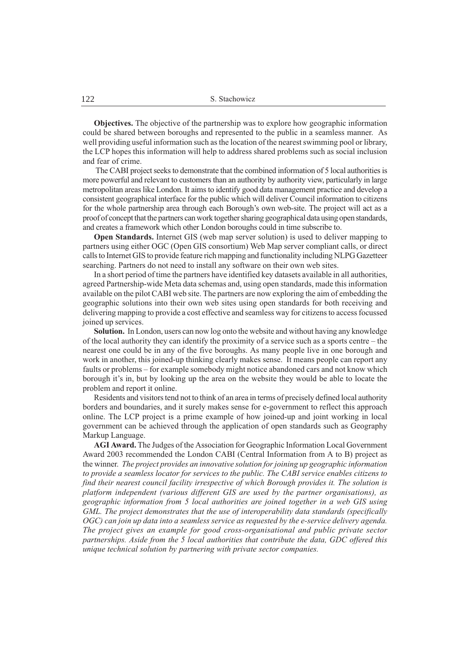Objectives. The objective of the partnership was to explore how geographic information could be shared between boroughs and represented to the public in a seamless manner. As well providing useful information such as the location of the nearest swimming pool or library, the LCP hopes this information will help to address shared problems such as social inclusion and fear of crime.

 The CABI project seeks to demonstrate that the combined information of 5 local authorities is more powerful and relevant to customers than an authority by authority view, particularly in large metropolitan areas like London. It aims to identify good data management practice and develop a consistent geographical interface for the public which will deliver Council information to citizens for the whole partnership area through each Borough's own web-site. The project will act as a proof of concept that the partners can work together sharing geographical data using open standards, and creates a framework which other London boroughs could in time subscribe to.

Open Standards. Internet GIS (web map server solution) is used to deliver mapping to partners using either OGC (Open GIS consortium) Web Map server compliant calls, or direct calls to Internet GIS to provide feature rich mapping and functionality including NLPG Gazetteer searching. Partners do not need to install any software on their own web sites.

In a short period of time the partners have identified key datasets available in all authorities, agreed Partnership-wide Meta data schemas and, using open standards, made this information available on the pilot CABI web site. The partners are now exploring the aim of embedding the geographic solutions into their own web sites using open standards for both receiving and delivering mapping to provide a cost effective and seamless way for citizens to access focussed joined up services.

Solution. In London, users can now log onto the website and without having any knowledge of the local authority they can identify the proximity of a service such as a sports centre  $-$  the nearest one could be in any of the five boroughs. As many people live in one borough and work in another, this joined-up thinking clearly makes sense. It means people can report any faults or problems – for example somebody might notice abandoned cars and not know which borough it's in, but by looking up the area on the website they would be able to locate the problem and report it online.

Residents and visitors tend not to think of an area in terms of precisely defined local authority borders and boundaries, and it surely makes sense for e-government to reflect this approach online. The LCP project is a prime example of how joined-up and joint working in local government can be achieved through the application of open standards such as Geography Markup Language.

AGI Award. The Judges of the Association for Geographic Information Local Government Award 2003 recommended the London CABI (Central Information from A to B) project as the winner. The project provides an innovative solution for joining up geographic information to provide a seamless locator for services to the public. The CABI service enables citizens to find their nearest council facility irrespective of which Borough provides it. The solution is platform independent (various different GIS are used by the partner organisations), as geographic information from 5 local authorities are joined together in a web GIS using GML. The project demonstrates that the use of interoperability data standards (specifically OGC) can join up data into a seamless service as requested by the e-service delivery agenda. The project gives an example for good cross-organisational and public private sector partnerships. Aside from the 5 local authorities that contribute the data, GDC offered this unique technical solution by partnering with private sector companies.